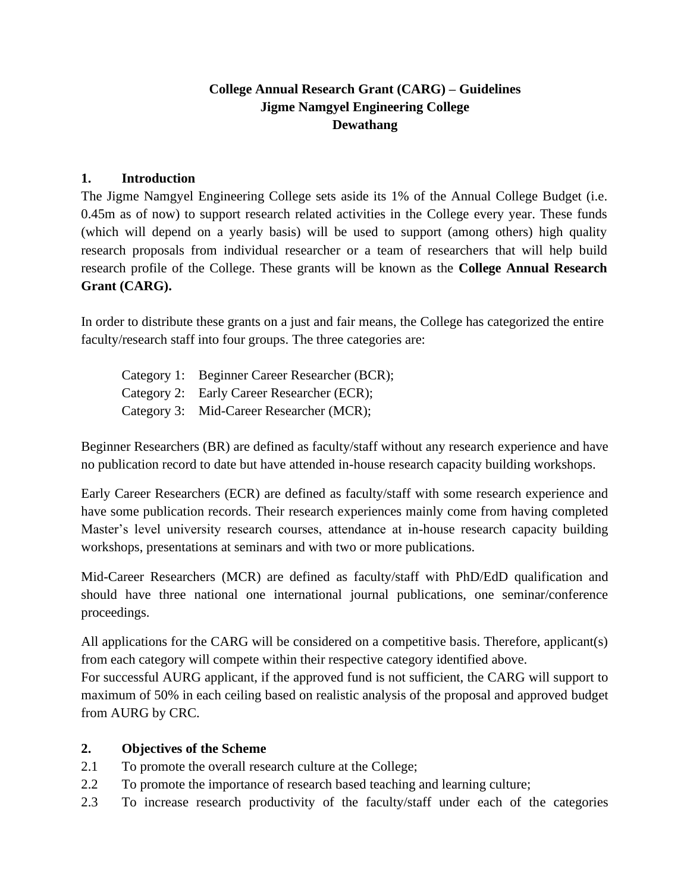## **College Annual Research Grant (CARG) – Guidelines Jigme Namgyel Engineering College Dewathang**

#### **1. Introduction**

The Jigme Namgyel Engineering College sets aside its 1% of the Annual College Budget (i.e. 0.45m as of now) to support research related activities in the College every year. These funds (which will depend on a yearly basis) will be used to support (among others) high quality research proposals from individual researcher or a team of researchers that will help build research profile of the College. These grants will be known as the **College Annual Research Grant (CARG).**

In order to distribute these grants on a just and fair means, the College has categorized the entire faculty/research staff into four groups. The three categories are:

| Category 1: Beginner Career Researcher (BCR); |
|-----------------------------------------------|
| Category 2: Early Career Researcher (ECR);    |
| Category 3: Mid-Career Researcher (MCR);      |

Beginner Researchers (BR) are defined as faculty/staff without any research experience and have no publication record to date but have attended in-house research capacity building workshops.

Early Career Researchers (ECR) are defined as faculty/staff with some research experience and have some publication records. Their research experiences mainly come from having completed Master's level university research courses, attendance at in-house research capacity building workshops, presentations at seminars and with two or more publications.

Mid-Career Researchers (MCR) are defined as faculty/staff with PhD/EdD qualification and should have three national one international journal publications, one seminar/conference proceedings.

All applications for the CARG will be considered on a competitive basis. Therefore, applicant(s) from each category will compete within their respective category identified above.

For successful AURG applicant, if the approved fund is not sufficient, the CARG will support to maximum of 50% in each ceiling based on realistic analysis of the proposal and approved budget from AURG by CRC.

#### **2. Objectives of the Scheme**

- 2.1 To promote the overall research culture at the College;
- 2.2 To promote the importance of research based teaching and learning culture;
- 2.3 To increase research productivity of the faculty/staff under each of the categories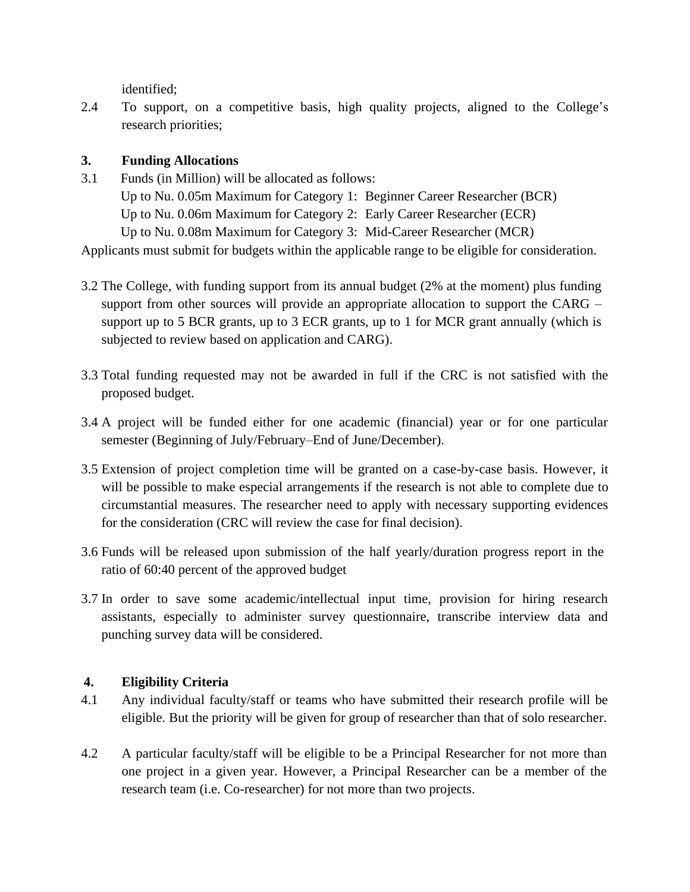identified;

2.4 To support, on a competitive basis, high quality projects, aligned to the College's research priorities;

## **3. Funding Allocations**

- 3.1 Funds (in Million) will be allocated as follows: Up to Nu. 0.05m Maximum for Category 1: Beginner Career Researcher (BCR) Up to Nu. 0.06m Maximum for Category 2: Early Career Researcher (ECR) Up to Nu. 0.08m Maximum for Category 3: Mid-Career Researcher (MCR) Applicants must submit for budgets within the applicable range to be eligible for consideration.
- 3.2 The College, with funding support from its annual budget (2% at the moment) plus funding support from other sources will provide an appropriate allocation to support the CARG – support up to 5 BCR grants, up to 3 ECR grants, up to 1 for MCR grant annually (which is subjected to review based on application and CARG).
- 3.3 Total funding requested may not be awarded in full if the CRC is not satisfied with the proposed budget.
- 3.4 A project will be funded either for one academic (financial) year or for one particular semester (Beginning of July/February–End of June/December).
- 3.5 Extension of project completion time will be granted on a case-by-case basis. However, it will be possible to make especial arrangements if the research is not able to complete due to circumstantial measures. The researcher need to apply with necessary supporting evidences for the consideration (CRC will review the case for final decision).
- 3.6 Funds will be released upon submission of the half yearly/duration progress report in the ratio of 60:40 percent of the approved budget
- 3.7 In order to save some academic/intellectual input time, provision for hiring research assistants, especially to administer survey questionnaire, transcribe interview data and punching survey data will be considered.

# **4. Eligibility Criteria**

- 4.1 Any individual faculty/staff or teams who have submitted their research profile will be eligible. But the priority will be given for group of researcher than that of solo researcher.
- 4.2 A particular faculty/staff will be eligible to be a Principal Researcher for not more than one project in a given year. However, a Principal Researcher can be a member of the research team (i.e. Co-researcher) for not more than two projects.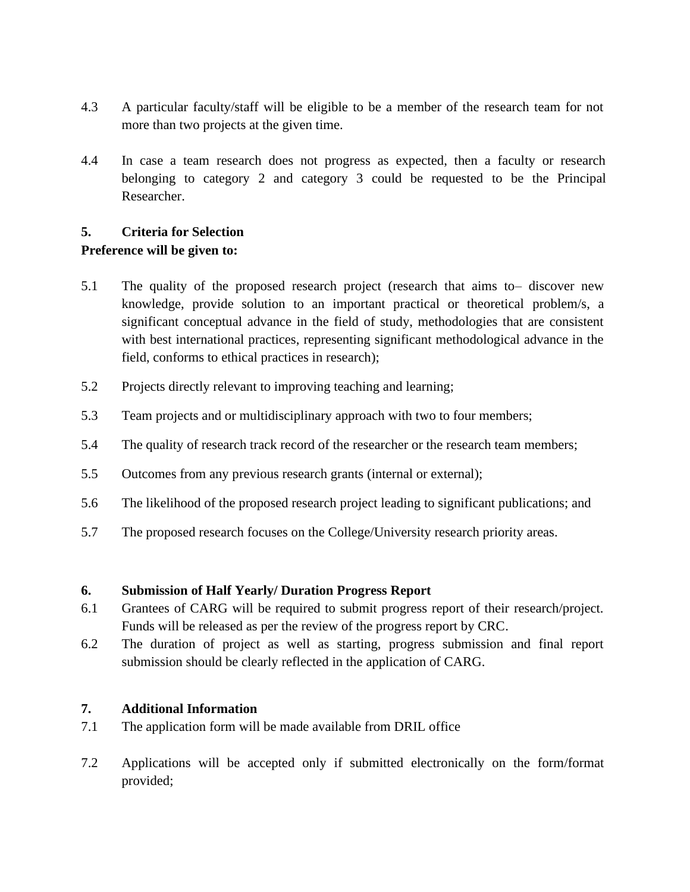- 4.3 A particular faculty/staff will be eligible to be a member of the research team for not more than two projects at the given time.
- 4.4 In case a team research does not progress as expected, then a faculty or research belonging to category 2 and category 3 could be requested to be the Principal Researcher.

# **5. Criteria for Selection**

# **Preference will be given to:**

- 5.1 The quality of the proposed research project (research that aims to– discover new knowledge, provide solution to an important practical or theoretical problem/s, a significant conceptual advance in the field of study, methodologies that are consistent with best international practices, representing significant methodological advance in the field, conforms to ethical practices in research);
- 5.2 Projects directly relevant to improving teaching and learning;
- 5.3 Team projects and or multidisciplinary approach with two to four members;
- 5.4 The quality of research track record of the researcher or the research team members;
- 5.5 Outcomes from any previous research grants (internal or external);
- 5.6 The likelihood of the proposed research project leading to significant publications; and
- 5.7 The proposed research focuses on the College/University research priority areas.

#### **6. Submission of Half Yearly/ Duration Progress Report**

- 6.1 Grantees of CARG will be required to submit progress report of their research/project. Funds will be released as per the review of the progress report by CRC.
- 6.2 The duration of project as well as starting, progress submission and final report submission should be clearly reflected in the application of CARG.

# **7. Additional Information**

- 7.1 The application form will be made available from DRIL office
- 7.2 Applications will be accepted only if submitted electronically on the form/format provided;